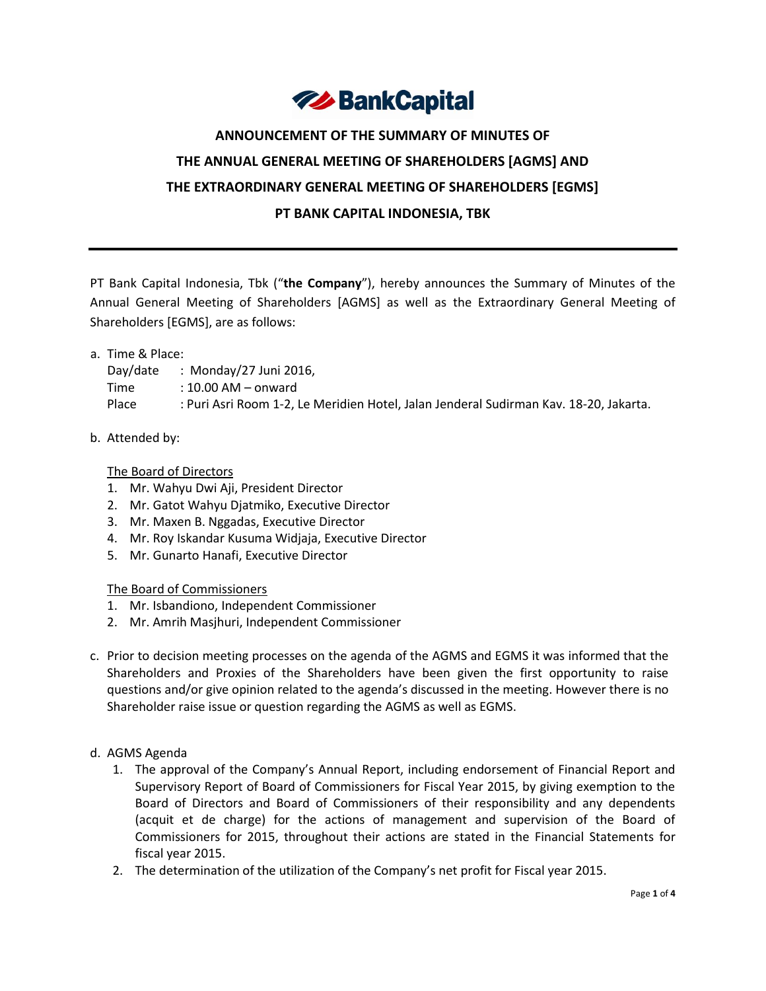

# **ANNOUNCEMENT OF THE SUMMARY OF MINUTES OF THE ANNUAL GENERAL MEETING OF SHAREHOLDERS [AGMS] AND THE EXTRAORDINARY GENERAL MEETING OF SHAREHOLDERS [EGMS] PT BANK CAPITAL INDONESIA, TBK**

PT Bank Capital Indonesia, Tbk ("**the Company**"), hereby announces the Summary of Minutes of the Annual General Meeting of Shareholders [AGMS] as well as the Extraordinary General Meeting of Shareholders [EGMS], are as follows:

#### a. Time & Place:

### Day/date : Monday/27 Juni 2016,

- Time : 10.00 AM onward
- Place : Puri Asri Room 1-2, Le Meridien Hotel, Jalan Jenderal Sudirman Kav. 18-20, Jakarta.

#### b. Attended by:

The Board of Directors

- 1. Mr. Wahyu Dwi Aji, President Director
- 2. Mr. Gatot Wahyu Djatmiko, Executive Director
- 3. Mr. Maxen B. Nggadas, Executive Director
- 4. Mr. Roy Iskandar Kusuma Widjaja, Executive Director
- 5. Mr. Gunarto Hanafi, Executive Director

The Board of Commissioners

- 1. Mr. Isbandiono, Independent Commissioner
- 2. Mr. Amrih Masjhuri, Independent Commissioner
- c. Prior to decision meeting processes on the agenda of the AGMS and EGMS it was informed that the Shareholders and Proxies of the Shareholders have been given the first opportunity to raise questions and/or give opinion related to the agenda's discussed in the meeting. However there is no Shareholder raise issue or question regarding the AGMS as well as EGMS.
- d. AGMS Agenda
	- 1. The approval of the Company's Annual Report, including endorsement of Financial Report and Supervisory Report of Board of Commissioners for Fiscal Year 2015, by giving exemption to the Board of Directors and Board of Commissioners of their responsibility and any dependents (acquit et de charge) for the actions of management and supervision of the Board of Commissioners for 2015, throughout their actions are stated in the Financial Statements for fiscal year 2015.
	- 2. The determination of the utilization of the Company's net profit for Fiscal year 2015.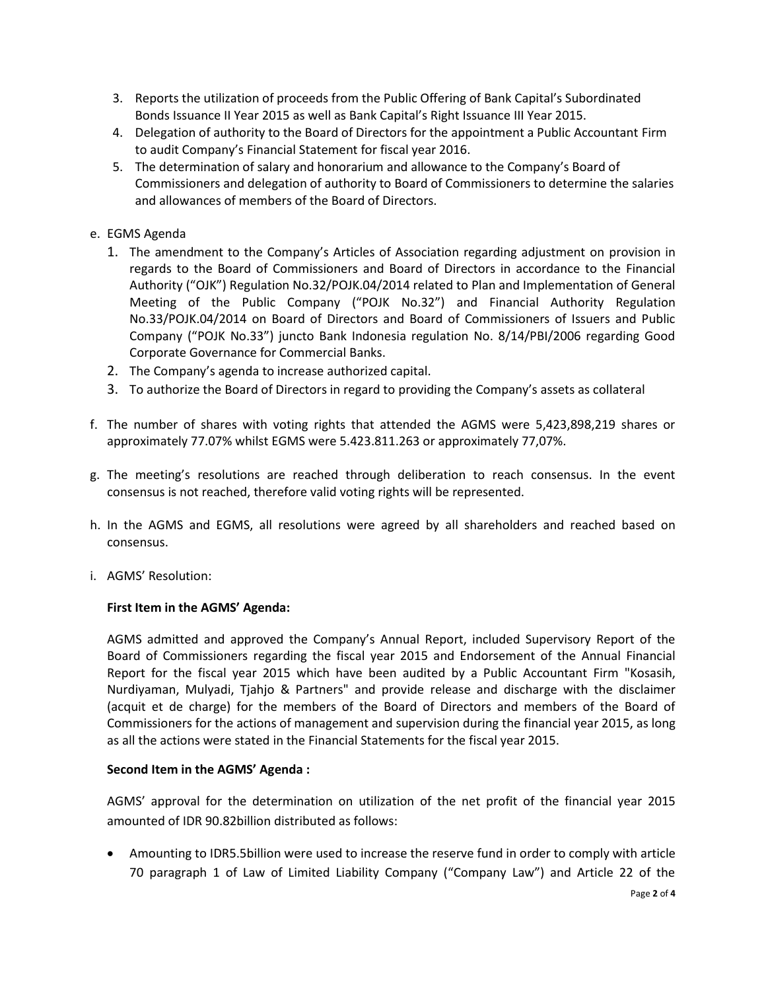- 3. Reports the utilization of proceeds from the Public Offering of Bank Capital's Subordinated Bonds Issuance II Year 2015 as well as Bank Capital's Right Issuance III Year 2015.
- 4. Delegation of authority to the Board of Directors for the appointment a Public Accountant Firm to audit Company's Financial Statement for fiscal year 2016.
- 5. The determination of salary and honorarium and allowance to the Company's Board of Commissioners and delegation of authority to Board of Commissioners to determine the salaries and allowances of members of the Board of Directors.
- e. EGMS Agenda
	- 1. The amendment to the Company's Articles of Association regarding adjustment on provision in regards to the Board of Commissioners and Board of Directors in accordance to the Financial Authority ("OJK") Regulation No.32/POJK.04/2014 related to Plan and Implementation of General Meeting of the Public Company ("POJK No.32") and Financial Authority Regulation No.33/POJK.04/2014 on Board of Directors and Board of Commissioners of Issuers and Public Company ("POJK No.33") juncto Bank Indonesia regulation No. 8/14/PBI/2006 regarding Good Corporate Governance for Commercial Banks.
	- 2. The Company's agenda to increase authorized capital.
	- 3. To authorize the Board of Directors in regard to providing the Company's assets as collateral
- f. The number of shares with voting rights that attended the AGMS were 5,423,898,219 shares or approximately 77.07% whilst EGMS were 5.423.811.263 or approximately 77,07%.
- g. The meeting's resolutions are reached through deliberation to reach consensus. In the event consensus is not reached, therefore valid voting rights will be represented.
- h. In the AGMS and EGMS, all resolutions were agreed by all shareholders and reached based on consensus.
- i. AGMS' Resolution:

#### **First Item in the AGMS' Agenda:**

AGMS admitted and approved the Company's Annual Report, included Supervisory Report of the Board of Commissioners regarding the fiscal year 2015 and Endorsement of the Annual Financial Report for the fiscal year 2015 which have been audited by a Public Accountant Firm "Kosasih, Nurdiyaman, Mulyadi, Tjahjo & Partners" and provide release and discharge with the disclaimer (acquit et de charge) for the members of the Board of Directors and members of the Board of Commissioners for the actions of management and supervision during the financial year 2015, as long as all the actions were stated in the Financial Statements for the fiscal year 2015.

#### **Second Item in the AGMS' Agenda :**

AGMS' approval for the determination on utilization of the net profit of the financial year 2015 amounted of IDR 90.82billion distributed as follows:

 Amounting to IDR5.5billion were used to increase the reserve fund in order to comply with article 70 paragraph 1 of Law of Limited Liability Company ("Company Law") and Article 22 of the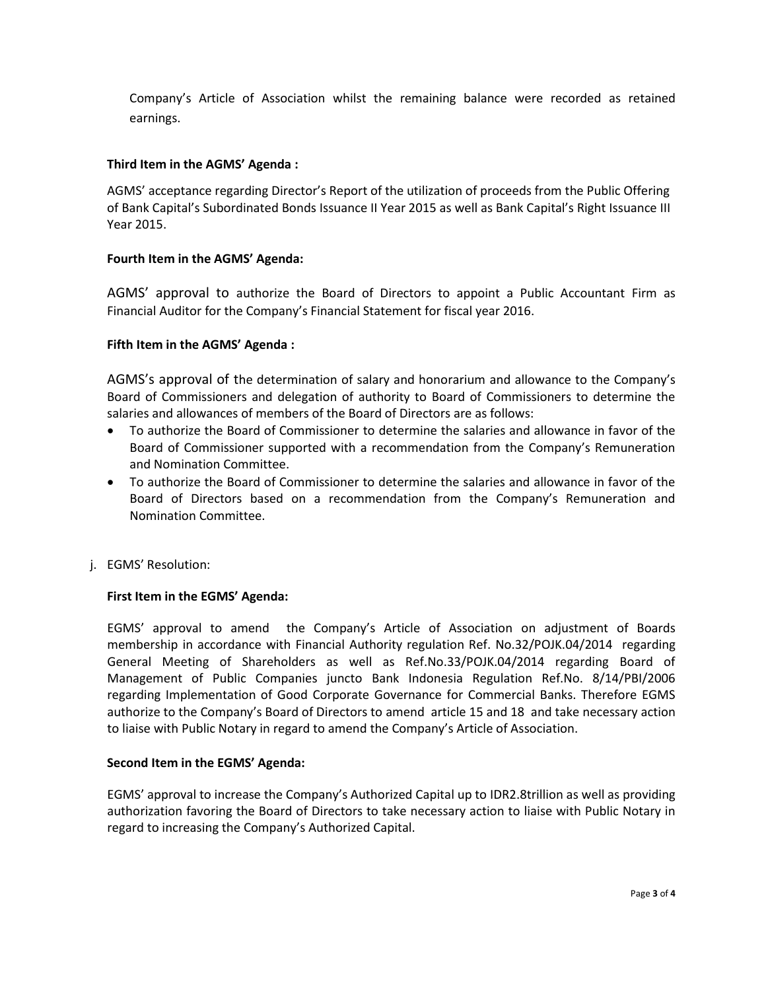Company's Article of Association whilst the remaining balance were recorded as retained earnings.

#### **Third Item in the AGMS' Agenda :**

AGMS' acceptance regarding Director's Report of the utilization of proceeds from the Public Offering of Bank Capital's Subordinated Bonds Issuance II Year 2015 as well as Bank Capital's Right Issuance III Year 2015.

#### **Fourth Item in the AGMS' Agenda:**

AGMS' approval to authorize the Board of Directors to appoint a Public Accountant Firm as Financial Auditor for the Company's Financial Statement for fiscal year 2016.

#### **Fifth Item in the AGMS' Agenda :**

AGMS's approval of the determination of salary and honorarium and allowance to the Company's Board of Commissioners and delegation of authority to Board of Commissioners to determine the salaries and allowances of members of the Board of Directors are as follows:

- To authorize the Board of Commissioner to determine the salaries and allowance in favor of the Board of Commissioner supported with a recommendation from the Company's Remuneration and Nomination Committee.
- To authorize the Board of Commissioner to determine the salaries and allowance in favor of the Board of Directors based on a recommendation from the Company's Remuneration and Nomination Committee.
- j. EGMS' Resolution:

#### **First Item in the EGMS' Agenda:**

EGMS' approval to amend the Company's Article of Association on adjustment of Boards membership in accordance with Financial Authority regulation Ref. No.32/POJK.04/2014 regarding General Meeting of Shareholders as well as Ref.No.33/POJK.04/2014 regarding Board of Management of Public Companies juncto Bank Indonesia Regulation Ref.No. 8/14/PBI/2006 regarding Implementation of Good Corporate Governance for Commercial Banks. Therefore EGMS authorize to the Company's Board of Directors to amend article 15 and 18 and take necessary action to liaise with Public Notary in regard to amend the Company's Article of Association.

#### **Second Item in the EGMS' Agenda:**

EGMS' approval to increase the Company's Authorized Capital up to IDR2.8trillion as well as providing authorization favoring the Board of Directors to take necessary action to liaise with Public Notary in regard to increasing the Company's Authorized Capital.